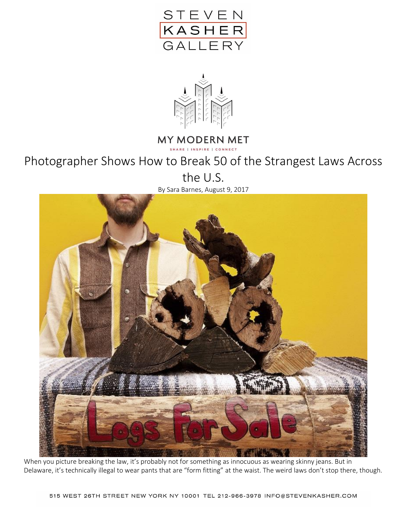



## **MY MODERN MET**

SHARE | INSPIRE | CONNECT

## Photographer Shows How to Break 50 of the Strangest Laws Across

the U.S.

By Sara Barnes, August 9, 2017



When you picture breaking the law, it's probably not for something as innocuous as wearing skinny jeans. But in Delaware, it's technically illegal to wear pants that are "form fitting" at the waist. The weird laws don't stop there, though.